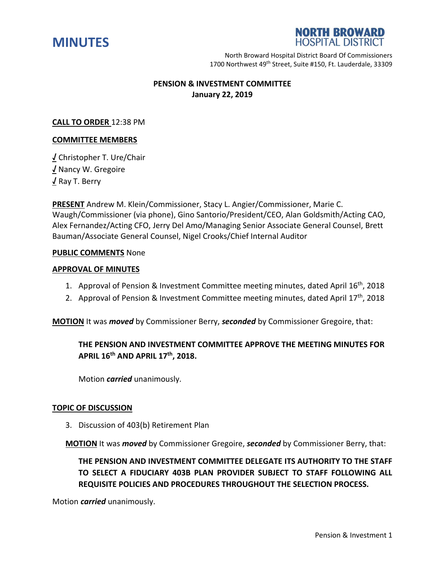



North Broward Hospital District Board Of Commissioners 1700 Northwest 49<sup>th</sup> Street, Suite #150, Ft. Lauderdale, 33309

## **PENSION & INVESTMENT COMMITTEE January 22, 2019**

### **CALL TO ORDER** 12:38 PM

#### **COMMITTEE MEMBERS**

**√** Christopher T. Ure/Chair **√** Nancy W. Gregoire **√** Ray T. Berry

**PRESENT** Andrew M. Klein/Commissioner, Stacy L. Angier/Commissioner, Marie C. Waugh/Commissioner (via phone), Gino Santorio/President/CEO, Alan Goldsmith/Acting CAO, Alex Fernandez/Acting CFO, Jerry Del Amo/Managing Senior Associate General Counsel, Brett Bauman/Associate General Counsel, Nigel Crooks/Chief Internal Auditor

#### **PUBLIC COMMENTS** None

#### **APPROVAL OF MINUTES**

- 1. Approval of Pension & Investment Committee meeting minutes, dated April 16<sup>th</sup>, 2018
- 2. Approval of Pension & Investment Committee meeting minutes, dated April  $17<sup>th</sup>$ , 2018

**MOTION** It was *moved* by Commissioner Berry, *seconded* by Commissioner Gregoire, that:

# **THE PENSION AND INVESTMENT COMMITTEE APPROVE THE MEETING MINUTES FOR APRIL 16th AND APRIL 17th, 2018.**

Motion *carried* unanimously.

#### **TOPIC OF DISCUSSION**

3. Discussion of 403(b) Retirement Plan

**MOTION** It was *moved* by Commissioner Gregoire, *seconded* by Commissioner Berry, that:

**THE PENSION AND INVESTMENT COMMITTEE DELEGATE ITS AUTHORITY TO THE STAFF TO SELECT A FIDUCIARY 403B PLAN PROVIDER SUBJECT TO STAFF FOLLOWING ALL REQUISITE POLICIES AND PROCEDURES THROUGHOUT THE SELECTION PROCESS.**

Motion *carried* unanimously.